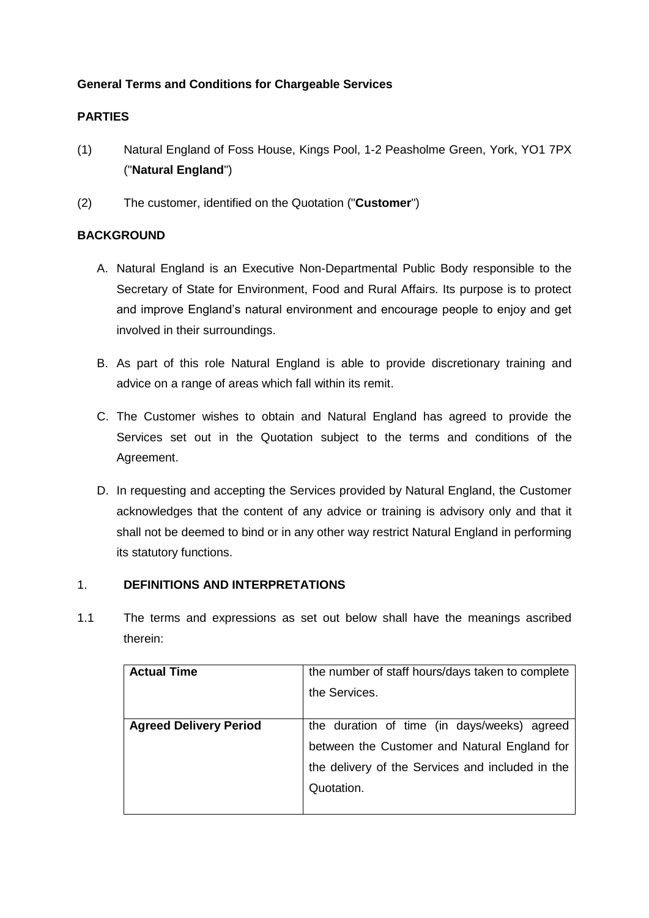# **General Terms and Conditions for Chargeable Services**

# **PARTIES**

- (1) Natural England of Foss House, Kings Pool, 1-2 Peasholme Green, York, YO1 7PX ("**Natural England**")
- (2) The customer, identified on the Quotation ("**Customer**")

# **BACKGROUND**

- A. Natural England is an Executive Non-Departmental Public Body responsible to the Secretary of State for Environment, Food and Rural Affairs. Its purpose is to protect and improve England's natural environment and encourage people to enjoy and get involved in their surroundings.
- B. As part of this role Natural England is able to provide discretionary training and advice on a range of areas which fall within its remit.
- C. The Customer wishes to obtain and Natural England has agreed to provide the Services set out in the Quotation subject to the terms and conditions of the Agreement.
- D. In requesting and accepting the Services provided by Natural England, the Customer acknowledges that the content of any advice or training is advisory only and that it shall not be deemed to bind or in any other way restrict Natural England in performing its statutory functions.

# 1. **DEFINITIONS AND INTERPRETATIONS**

1.1 The terms and expressions as set out below shall have the meanings ascribed therein:

| <b>Actual Time</b>            | the number of staff hours/days taken to complete |
|-------------------------------|--------------------------------------------------|
|                               | the Services.                                    |
|                               |                                                  |
| <b>Agreed Delivery Period</b> | the duration of time (in days/weeks) agreed      |
|                               | between the Customer and Natural England for     |
|                               | the delivery of the Services and included in the |
|                               | Quotation.                                       |
|                               |                                                  |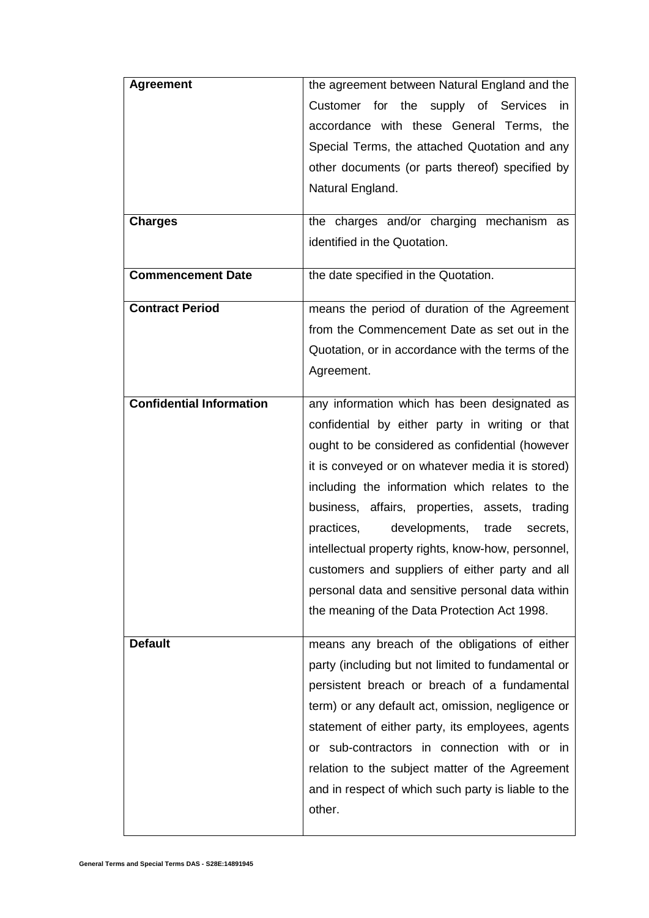| <b>Agreement</b>                | the agreement between Natural England and the       |
|---------------------------------|-----------------------------------------------------|
|                                 | Customer for the supply of Services<br>in.          |
|                                 | accordance with these General Terms, the            |
|                                 | Special Terms, the attached Quotation and any       |
|                                 | other documents (or parts thereof) specified by     |
|                                 | Natural England.                                    |
|                                 |                                                     |
| <b>Charges</b>                  | the charges and/or charging mechanism as            |
|                                 | identified in the Quotation.                        |
| <b>Commencement Date</b>        | the date specified in the Quotation.                |
| <b>Contract Period</b>          | means the period of duration of the Agreement       |
|                                 | from the Commencement Date as set out in the        |
|                                 | Quotation, or in accordance with the terms of the   |
|                                 | Agreement.                                          |
| <b>Confidential Information</b> |                                                     |
|                                 | any information which has been designated as        |
|                                 | confidential by either party in writing or that     |
|                                 | ought to be considered as confidential (however     |
|                                 | it is conveyed or on whatever media it is stored)   |
|                                 | including the information which relates to the      |
|                                 | business, affairs, properties, assets, trading      |
|                                 | practices,<br>developments,<br>trade<br>secrets,    |
|                                 | intellectual property rights, know-how, personnel,  |
|                                 | customers and suppliers of either party and all     |
|                                 | personal data and sensitive personal data within    |
|                                 | the meaning of the Data Protection Act 1998.        |
| <b>Default</b>                  | means any breach of the obligations of either       |
|                                 | party (including but not limited to fundamental or  |
|                                 | persistent breach or breach of a fundamental        |
|                                 | term) or any default act, omission, negligence or   |
|                                 | statement of either party, its employees, agents    |
|                                 | or sub-contractors in connection with or in         |
|                                 | relation to the subject matter of the Agreement     |
|                                 | and in respect of which such party is liable to the |
|                                 | other.                                              |
|                                 |                                                     |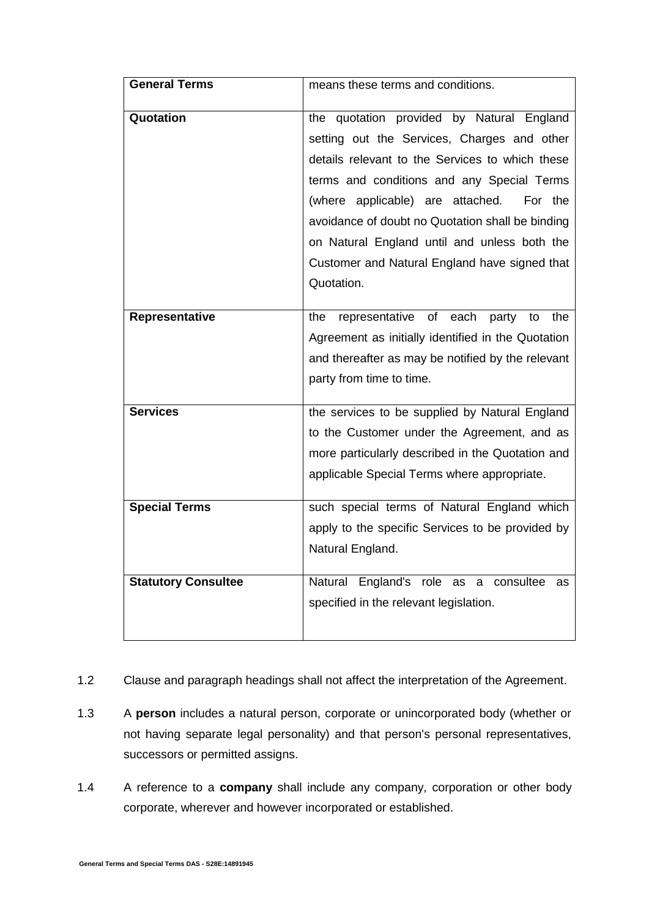| <b>General Terms</b>       | means these terms and conditions.                         |
|----------------------------|-----------------------------------------------------------|
|                            |                                                           |
| Quotation                  | the quotation provided by Natural England                 |
|                            | setting out the Services, Charges and other               |
|                            | details relevant to the Services to which these           |
|                            | terms and conditions and any Special Terms                |
|                            | (where applicable) are attached.<br>For the               |
|                            | avoidance of doubt no Quotation shall be binding          |
|                            | on Natural England until and unless both the              |
|                            | Customer and Natural England have signed that             |
|                            | Quotation.                                                |
|                            |                                                           |
| Representative             | representative<br>of<br>each<br>party<br>the<br>the<br>to |
|                            | Agreement as initially identified in the Quotation        |
|                            | and thereafter as may be notified by the relevant         |
|                            | party from time to time.                                  |
|                            |                                                           |
| <b>Services</b>            | the services to be supplied by Natural England            |
|                            | to the Customer under the Agreement, and as               |
|                            | more particularly described in the Quotation and          |
|                            | applicable Special Terms where appropriate.               |
|                            |                                                           |
| <b>Special Terms</b>       | such special terms of Natural England which               |
|                            | apply to the specific Services to be provided by          |
|                            | Natural England.                                          |
| <b>Statutory Consultee</b> | Natural England's role as a<br>consultee<br>as            |
|                            | specified in the relevant legislation.                    |
|                            |                                                           |
|                            |                                                           |

- 1.2 Clause and paragraph headings shall not affect the interpretation of the Agreement.
- 1.3 A **person** includes a natural person, corporate or unincorporated body (whether or not having separate legal personality) and that person's personal representatives, successors or permitted assigns.
- 1.4 A reference to a **company** shall include any company, corporation or other body corporate, wherever and however incorporated or established.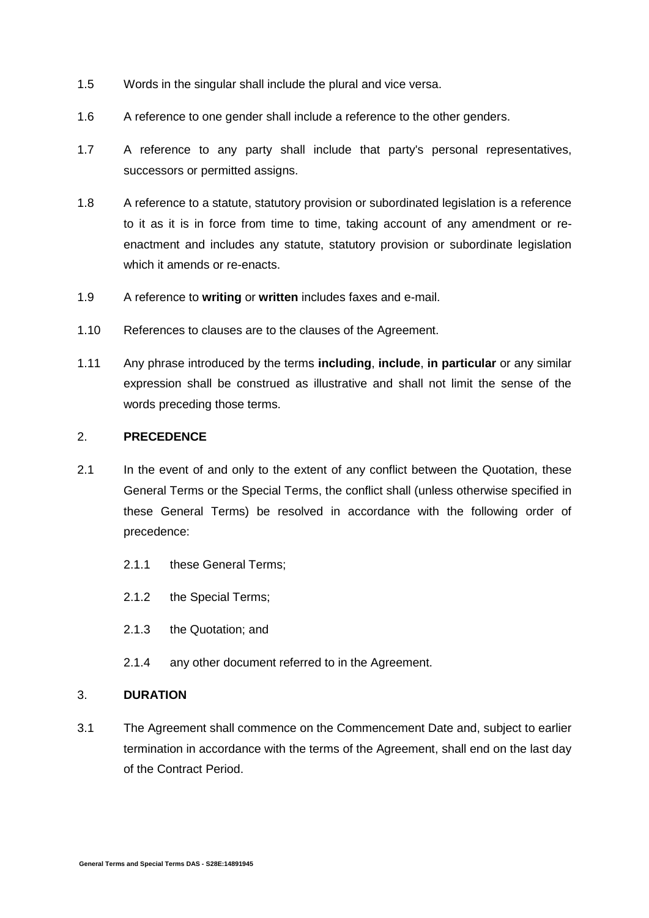- 1.5 Words in the singular shall include the plural and vice versa.
- 1.6 A reference to one gender shall include a reference to the other genders.
- 1.7 A reference to any party shall include that party's personal representatives, successors or permitted assigns.
- 1.8 A reference to a statute, statutory provision or subordinated legislation is a reference to it as it is in force from time to time, taking account of any amendment or reenactment and includes any statute, statutory provision or subordinate legislation which it amends or re-enacts.
- 1.9 A reference to **writing** or **written** includes faxes and e-mail.
- 1.10 References to clauses are to the clauses of the Agreement.
- 1.11 Any phrase introduced by the terms **including**, **include**, **in particular** or any similar expression shall be construed as illustrative and shall not limit the sense of the words preceding those terms.

### 2. **PRECEDENCE**

- 2.1 In the event of and only to the extent of any conflict between the Quotation, these General Terms or the Special Terms, the conflict shall (unless otherwise specified in these General Terms) be resolved in accordance with the following order of precedence:
	- 2.1.1 these General Terms;
	- 2.1.2 the Special Terms;
	- 2.1.3 the Quotation; and
	- 2.1.4 any other document referred to in the Agreement.

#### 3. **DURATION**

3.1 The Agreement shall commence on the Commencement Date and, subject to earlier termination in accordance with the terms of the Agreement, shall end on the last day of the Contract Period.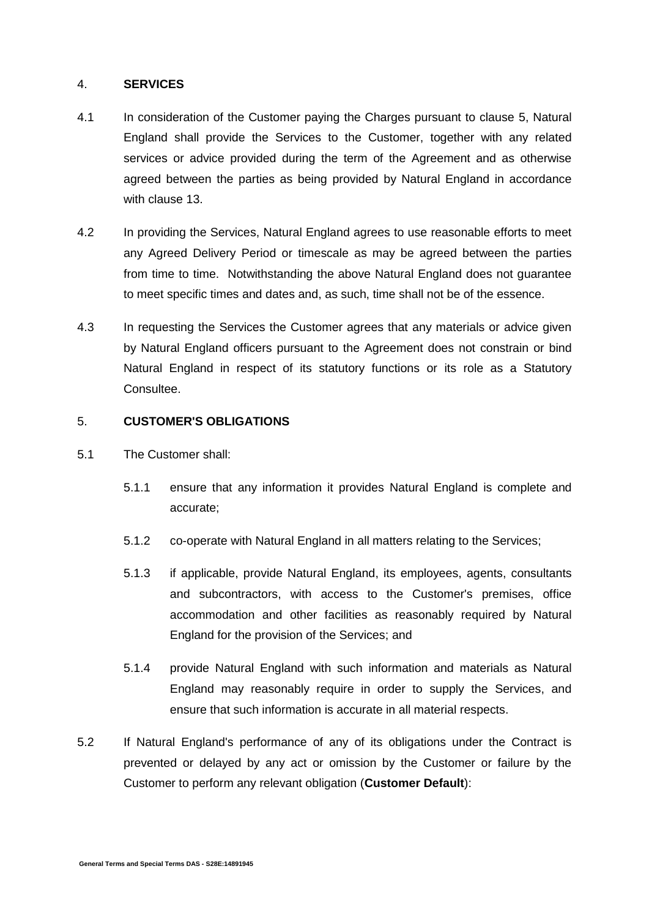### 4. **SERVICES**

- 4.1 In consideration of the Customer paying the Charges pursuant to clause [5,](#page-4-0) Natural England shall provide the Services to the Customer, together with any related services or advice provided during the term of the Agreement and as otherwise agreed between the parties as being provided by Natural England in accordance with clause [13.](#page-10-0)
- 4.2 In providing the Services, Natural England agrees to use reasonable efforts to meet any Agreed Delivery Period or timescale as may be agreed between the parties from time to time. Notwithstanding the above Natural England does not guarantee to meet specific times and dates and, as such, time shall not be of the essence.
- <span id="page-4-1"></span>4.3 In requesting the Services the Customer agrees that any materials or advice given by Natural England officers pursuant to the Agreement does not constrain or bind Natural England in respect of its statutory functions or its role as a Statutory Consultee.

### <span id="page-4-0"></span>5. **CUSTOMER'S OBLIGATIONS**

- 5.1 The Customer shall:
	- 5.1.1 ensure that any information it provides Natural England is complete and accurate;
	- 5.1.2 co-operate with Natural England in all matters relating to the Services;
	- 5.1.3 if applicable, provide Natural England, its employees, agents, consultants and subcontractors, with access to the Customer's premises, office accommodation and other facilities as reasonably required by Natural England for the provision of the Services; and
	- 5.1.4 provide Natural England with such information and materials as Natural England may reasonably require in order to supply the Services, and ensure that such information is accurate in all material respects.
- 5.2 If Natural England's performance of any of its obligations under the Contract is prevented or delayed by any act or omission by the Customer or failure by the Customer to perform any relevant obligation (**Customer Default**):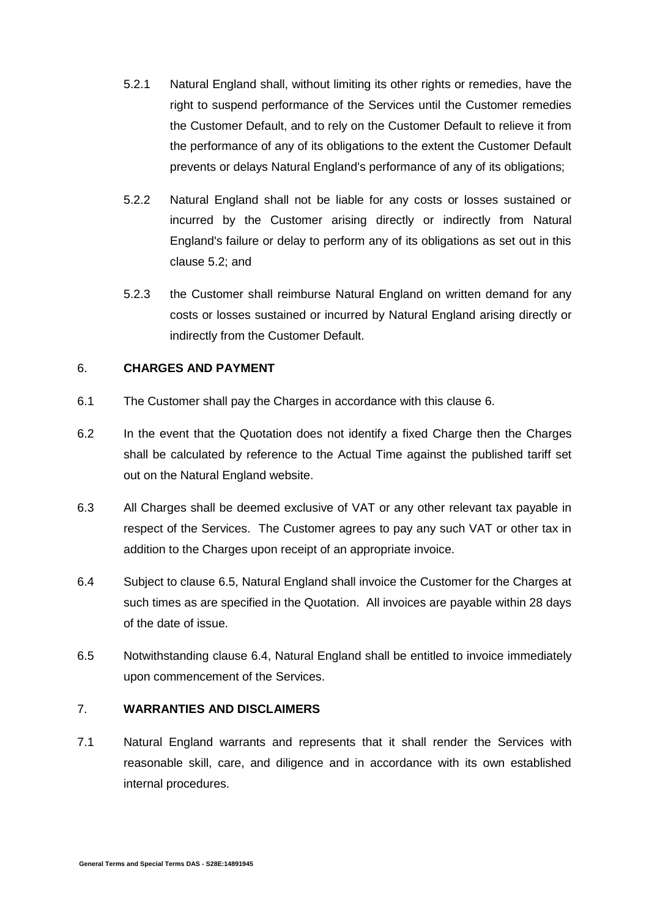- 5.2.1 Natural England shall, without limiting its other rights or remedies, have the right to suspend performance of the Services until the Customer remedies the Customer Default, and to rely on the Customer Default to relieve it from the performance of any of its obligations to the extent the Customer Default prevents or delays Natural England's performance of any of its obligations;
- 5.2.2 Natural England shall not be liable for any costs or losses sustained or incurred by the Customer arising directly or indirectly from Natural England's failure or delay to perform any of its obligations as set out in this [clause 5.2;](http://uk.practicallaw.com/4-318-4952#a531297) and
- 5.2.3 the Customer shall reimburse Natural England on written demand for any costs or losses sustained or incurred by Natural England arising directly or indirectly from the Customer Default.

### <span id="page-5-0"></span>6. **CHARGES AND PAYMENT**

- 6.1 The Customer shall pay the Charges in accordance with this clause [6.](#page-5-0)
- 6.2 In the event that the Quotation does not identify a fixed Charge then the Charges shall be calculated by reference to the Actual Time against the published tariff set out on the Natural England website.
- 6.3 All Charges shall be deemed exclusive of VAT or any other relevant tax payable in respect of the Services. The Customer agrees to pay any such VAT or other tax in addition to the Charges upon receipt of an appropriate invoice.
- <span id="page-5-2"></span>6.4 Subject to clause [6.5,](#page-5-1) Natural England shall invoice the Customer for the Charges at such times as are specified in the Quotation. All invoices are payable within 28 days of the date of issue.
- <span id="page-5-1"></span>6.5 Notwithstanding clause [6.4,](#page-5-2) Natural England shall be entitled to invoice immediately upon commencement of the Services.

### 7. **WARRANTIES AND DISCLAIMERS**

<span id="page-5-3"></span>7.1 Natural England warrants and represents that it shall render the Services with reasonable skill, care, and diligence and in accordance with its own established internal procedures.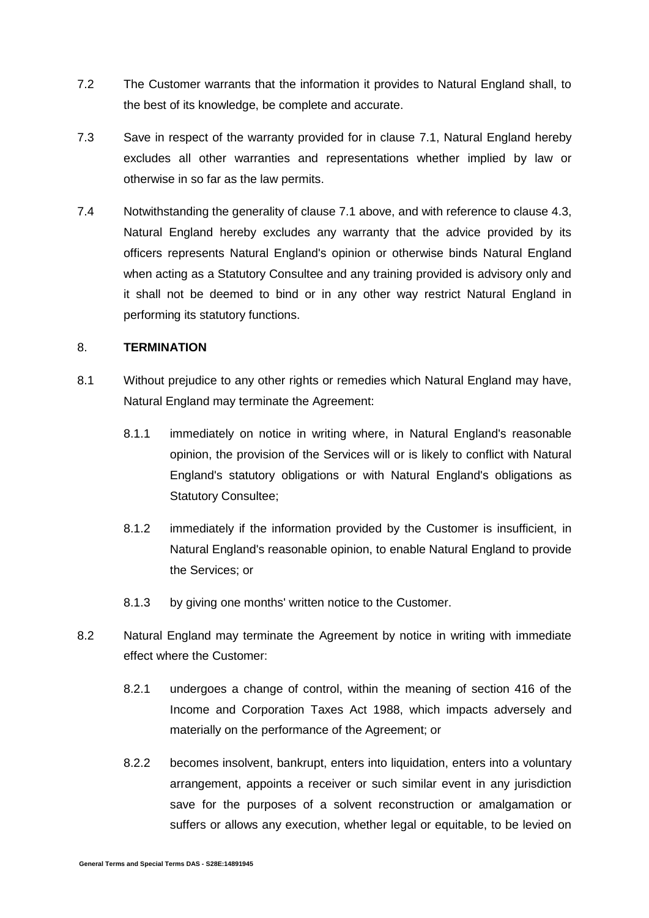- 7.2 The Customer warrants that the information it provides to Natural England shall, to the best of its knowledge, be complete and accurate.
- 7.3 Save in respect of the warranty provided for in clause [7.1,](#page-5-3) Natural England hereby excludes all other warranties and representations whether implied by law or otherwise in so far as the law permits.
- 7.4 Notwithstanding the generality of clause [7.1](#page-5-3) above, and with reference to clause [4.3,](#page-4-1) Natural England hereby excludes any warranty that the advice provided by its officers represents Natural England's opinion or otherwise binds Natural England when acting as a Statutory Consultee and any training provided is advisory only and it shall not be deemed to bind or in any other way restrict Natural England in performing its statutory functions.

### 8. **TERMINATION**

- <span id="page-6-0"></span>8.1 Without prejudice to any other rights or remedies which Natural England may have, Natural England may terminate the Agreement:
	- 8.1.1 immediately on notice in writing where, in Natural England's reasonable opinion, the provision of the Services will or is likely to conflict with Natural England's statutory obligations or with Natural England's obligations as Statutory Consultee;
	- 8.1.2 immediately if the information provided by the Customer is insufficient, in Natural England's reasonable opinion, to enable Natural England to provide the Services; or
	- 8.1.3 by giving one months' written notice to the Customer.
- 8.2 Natural England may terminate the Agreement by notice in writing with immediate effect where the Customer:
	- 8.2.1 undergoes a change of control, within the meaning of section 416 of the Income and Corporation Taxes Act 1988, which impacts adversely and materially on the performance of the Agreement; or
	- 8.2.2 becomes insolvent, bankrupt, enters into liquidation, enters into a voluntary arrangement, appoints a receiver or such similar event in any jurisdiction save for the purposes of a solvent reconstruction or amalgamation or suffers or allows any execution, whether legal or equitable, to be levied on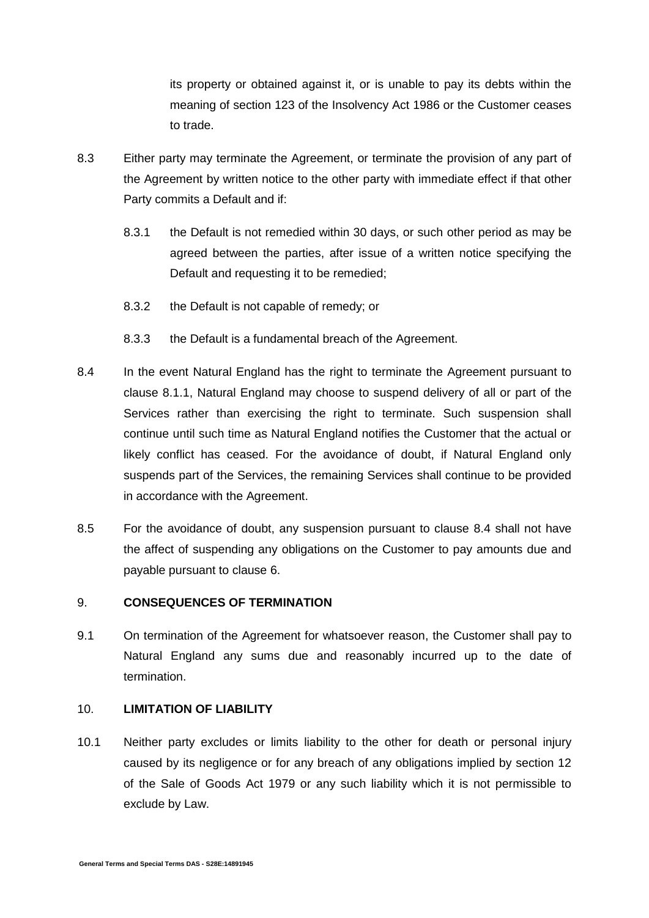its property or obtained against it, or is unable to pay its debts within the meaning of section 123 of the Insolvency Act 1986 or the Customer ceases to trade.

- 8.3 Either party may terminate the Agreement, or terminate the provision of any part of the Agreement by written notice to the other party with immediate effect if that other Party commits a Default and if:
	- 8.3.1 the Default is not remedied within 30 days, or such other period as may be agreed between the parties, after issue of a written notice specifying the Default and requesting it to be remedied;
	- 8.3.2 the Default is not capable of remedy; or
	- 8.3.3 the Default is a fundamental breach of the Agreement.
- <span id="page-7-0"></span>8.4 In the event Natural England has the right to terminate the Agreement pursuant to clause [8.1.1,](#page-6-0) Natural England may choose to suspend delivery of all or part of the Services rather than exercising the right to terminate. Such suspension shall continue until such time as Natural England notifies the Customer that the actual or likely conflict has ceased. For the avoidance of doubt, if Natural England only suspends part of the Services, the remaining Services shall continue to be provided in accordance with the Agreement.
- 8.5 For the avoidance of doubt, any suspension pursuant to clause [8.4](#page-7-0) shall not have the affect of suspending any obligations on the Customer to pay amounts due and payable pursuant to clause [6.](#page-5-0)

### 9. **CONSEQUENCES OF TERMINATION**

9.1 On termination of the Agreement for whatsoever reason, the Customer shall pay to Natural England any sums due and reasonably incurred up to the date of termination.

### 10. **LIMITATION OF LIABILITY**

<span id="page-7-1"></span>10.1 Neither party excludes or limits liability to the other for death or personal injury caused by its negligence or for any breach of any obligations implied by section 12 of the Sale of Goods Act 1979 or any such liability which it is not permissible to exclude by Law.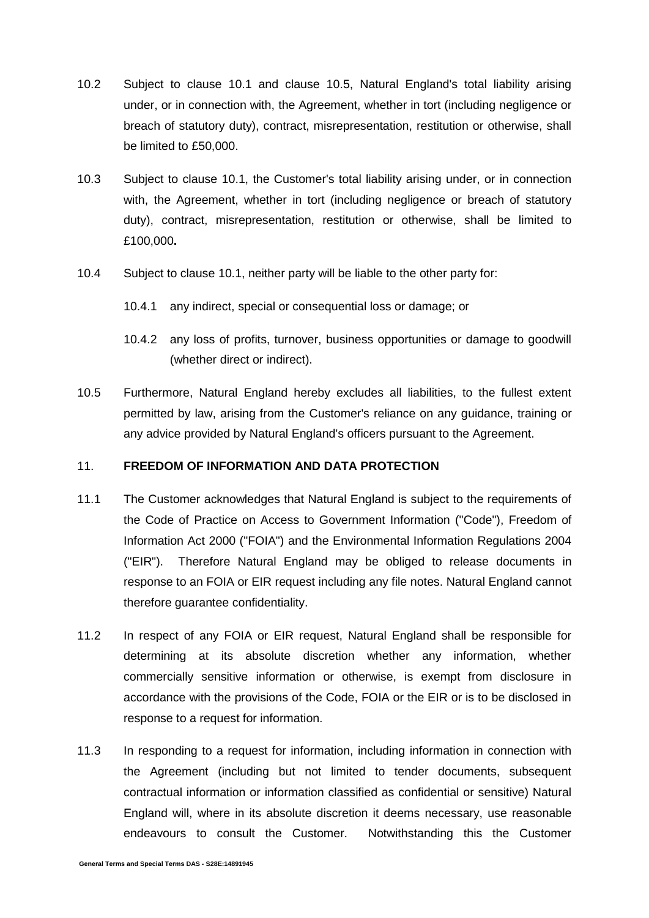- 10.2 Subject to clause [10.1](#page-7-1) and clause [10.5,](#page-8-0) Natural England's total liability arising under, or in connection with, the Agreement, whether in tort (including negligence or breach of statutory duty), contract, misrepresentation, restitution or otherwise, shall be limited to £50,000.
- 10.3 Subject to clause [10.1,](#page-7-1) the Customer's total liability arising under, or in connection with, the Agreement, whether in tort (including negligence or breach of statutory duty), contract, misrepresentation, restitution or otherwise, shall be limited to £100,000**.**
- 10.4 Subject to clause [10.1,](#page-7-1) neither party will be liable to the other party for:
	- 10.4.1 any indirect, special or consequential loss or damage; or
	- 10.4.2 any loss of profits, turnover, business opportunities or damage to goodwill (whether direct or indirect).
- <span id="page-8-0"></span>10.5 Furthermore, Natural England hereby excludes all liabilities, to the fullest extent permitted by law, arising from the Customer's reliance on any guidance, training or any advice provided by Natural England's officers pursuant to the Agreement.

### <span id="page-8-1"></span>11. **FREEDOM OF INFORMATION AND DATA PROTECTION**

- 11.1 The Customer acknowledges that Natural England is subject to the requirements of the Code of Practice on Access to Government Information ("Code"), Freedom of Information Act 2000 ("FOIA") and the Environmental Information Regulations 2004 ("EIR"). Therefore Natural England may be obliged to release documents in response to an FOIA or EIR request including any file notes. Natural England cannot therefore guarantee confidentiality.
- 11.2 In respect of any FOIA or EIR request, Natural England shall be responsible for determining at its absolute discretion whether any information, whether commercially sensitive information or otherwise, is exempt from disclosure in accordance with the provisions of the Code, FOIA or the EIR or is to be disclosed in response to a request for information.
- 11.3 In responding to a request for information, including information in connection with the Agreement (including but not limited to tender documents, subsequent contractual information or information classified as confidential or sensitive) Natural England will, where in its absolute discretion it deems necessary, use reasonable endeavours to consult the Customer. Notwithstanding this the Customer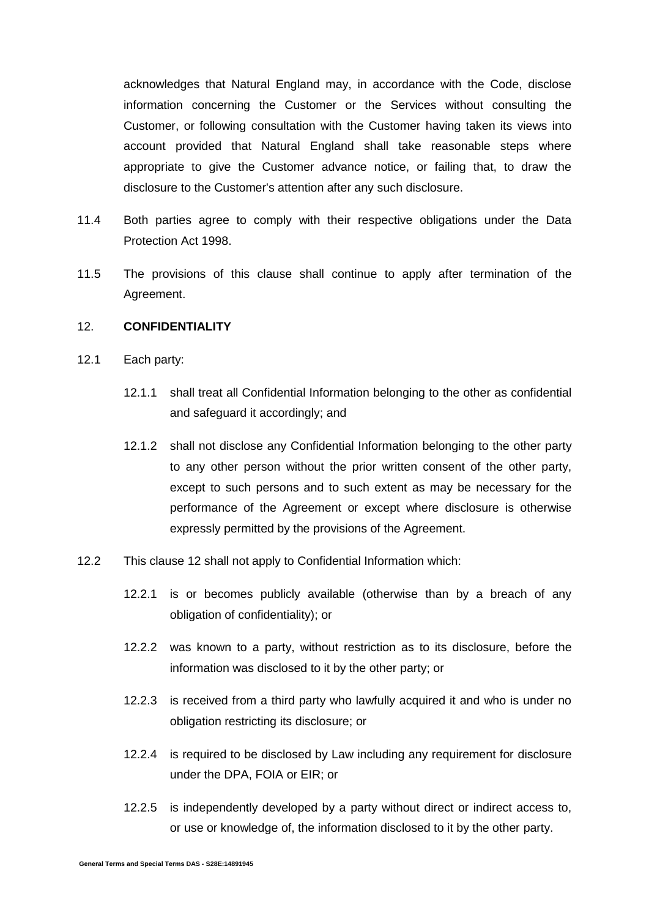acknowledges that Natural England may, in accordance with the Code, disclose information concerning the Customer or the Services without consulting the Customer, or following consultation with the Customer having taken its views into account provided that Natural England shall take reasonable steps where appropriate to give the Customer advance notice, or failing that, to draw the disclosure to the Customer's attention after any such disclosure.

- 11.4 Both parties agree to comply with their respective obligations under the Data Protection Act 1998.
- 11.5 The provisions of this clause shall continue to apply after termination of the Agreement.

### <span id="page-9-0"></span>12. **CONFIDENTIALITY**

- 12.1 Each party:
	- 12.1.1 shall treat all Confidential Information belonging to the other as confidential and safeguard it accordingly; and
	- 12.1.2 shall not disclose any Confidential Information belonging to the other party to any other person without the prior written consent of the other party, except to such persons and to such extent as may be necessary for the performance of the Agreement or except where disclosure is otherwise expressly permitted by the provisions of the Agreement.
- 12.2 This clause [12](#page-9-0) shall not apply to Confidential Information which:
	- 12.2.1 is or becomes publicly available (otherwise than by a breach of any obligation of confidentiality); or
	- 12.2.2 was known to a party, without restriction as to its disclosure, before the information was disclosed to it by the other party; or
	- 12.2.3 is received from a third party who lawfully acquired it and who is under no obligation restricting its disclosure; or
	- 12.2.4 is required to be disclosed by Law including any requirement for disclosure under the DPA, FOIA or EIR; or
	- 12.2.5 is independently developed by a party without direct or indirect access to, or use or knowledge of, the information disclosed to it by the other party.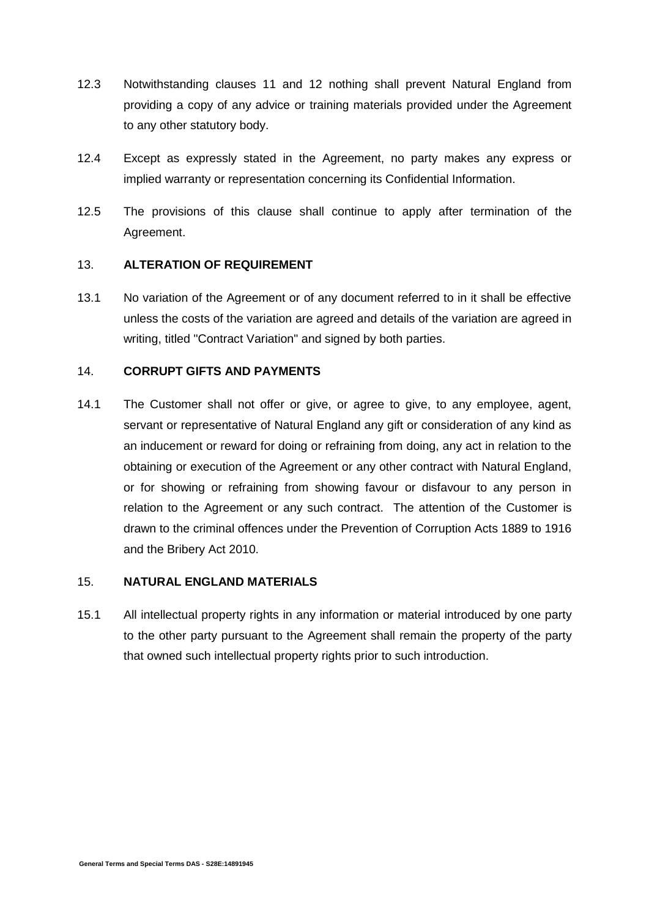- 12.3 Notwithstanding clauses [11](#page-8-1) and [12](#page-9-0) nothing shall prevent Natural England from providing a copy of any advice or training materials provided under the Agreement to any other statutory body.
- 12.4 Except as expressly stated in the Agreement, no party makes any express or implied warranty or representation concerning its Confidential Information.
- 12.5 The provisions of this clause shall continue to apply after termination of the Agreement.

### <span id="page-10-0"></span>13. **ALTERATION OF REQUIREMENT**

13.1 No variation of the Agreement or of any document referred to in it shall be effective unless the costs of the variation are agreed and details of the variation are agreed in writing, titled "Contract Variation" and signed by both parties.

### 14. **CORRUPT GIFTS AND PAYMENTS**

14.1 The Customer shall not offer or give, or agree to give, to any employee, agent, servant or representative of Natural England any gift or consideration of any kind as an inducement or reward for doing or refraining from doing, any act in relation to the obtaining or execution of the Agreement or any other contract with Natural England, or for showing or refraining from showing favour or disfavour to any person in relation to the Agreement or any such contract. The attention of the Customer is drawn to the criminal offences under the Prevention of Corruption Acts 1889 to 1916 and the Bribery Act 2010.

#### 15. **NATURAL ENGLAND MATERIALS**

15.1 All intellectual property rights in any information or material introduced by one party to the other party pursuant to the Agreement shall remain the property of the party that owned such intellectual property rights prior to such introduction.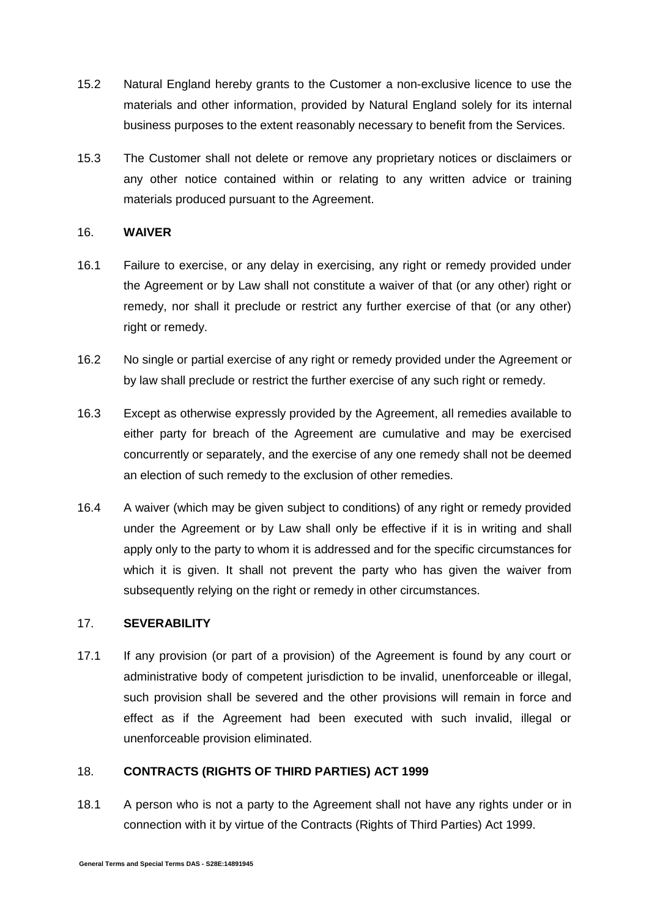- 15.2 Natural England hereby grants to the Customer a non-exclusive licence to use the materials and other information, provided by Natural England solely for its internal business purposes to the extent reasonably necessary to benefit from the Services.
- 15.3 The Customer shall not delete or remove any proprietary notices or disclaimers or any other notice contained within or relating to any written advice or training materials produced pursuant to the Agreement.

### 16. **WAIVER**

- 16.1 Failure to exercise, or any delay in exercising, any right or remedy provided under the Agreement or by Law shall not constitute a waiver of that (or any other) right or remedy, nor shall it preclude or restrict any further exercise of that (or any other) right or remedy.
- 16.2 No single or partial exercise of any right or remedy provided under the Agreement or by law shall preclude or restrict the further exercise of any such right or remedy.
- 16.3 Except as otherwise expressly provided by the Agreement, all remedies available to either party for breach of the Agreement are cumulative and may be exercised concurrently or separately, and the exercise of any one remedy shall not be deemed an election of such remedy to the exclusion of other remedies.
- 16.4 A waiver (which may be given subject to conditions) of any right or remedy provided under the Agreement or by Law shall only be effective if it is in writing and shall apply only to the party to whom it is addressed and for the specific circumstances for which it is given. It shall not prevent the party who has given the waiver from subsequently relying on the right or remedy in other circumstances.

### 17. **SEVERABILITY**

17.1 If any provision (or part of a provision) of the Agreement is found by any court or administrative body of competent jurisdiction to be invalid, unenforceable or illegal, such provision shall be severed and the other provisions will remain in force and effect as if the Agreement had been executed with such invalid, illegal or unenforceable provision eliminated.

### 18. **CONTRACTS (RIGHTS OF THIRD PARTIES) ACT 1999**

18.1 A person who is not a party to the Agreement shall not have any rights under or in connection with it by virtue of the Contracts (Rights of Third Parties) Act 1999.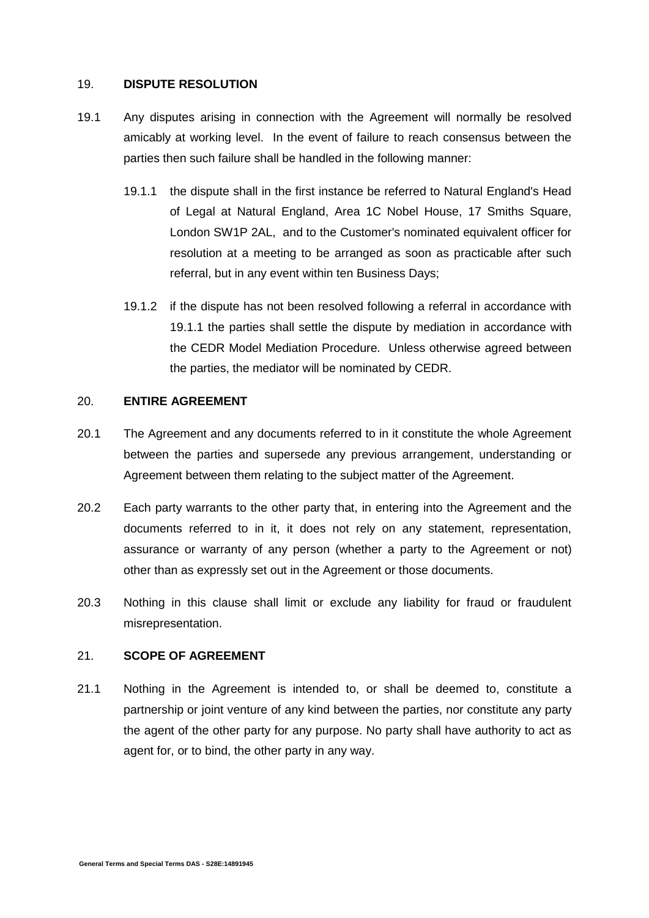### 19. **DISPUTE RESOLUTION**

- <span id="page-12-0"></span>19.1 Any disputes arising in connection with the Agreement will normally be resolved amicably at working level. In the event of failure to reach consensus between the parties then such failure shall be handled in the following manner:
	- 19.1.1 the dispute shall in the first instance be referred to Natural England's Head of Legal at Natural England, Area 1C Nobel House, 17 Smiths Square, London SW1P 2AL, and to the Customer's nominated equivalent officer for resolution at a meeting to be arranged as soon as practicable after such referral, but in any event within ten Business Days;
	- 19.1.2 if the dispute has not been resolved following a referral in accordance with [19.1.1](#page-12-0) the parties shall settle the dispute by mediation in accordance with the CEDR Model Mediation Procedure. Unless otherwise agreed between the parties, the mediator will be nominated by CEDR.

### 20. **ENTIRE AGREEMENT**

- 20.1 The Agreement and any documents referred to in it constitute the whole Agreement between the parties and supersede any previous arrangement, understanding or Agreement between them relating to the subject matter of the Agreement.
- 20.2 Each party warrants to the other party that, in entering into the Agreement and the documents referred to in it, it does not rely on any statement, representation, assurance or warranty of any person (whether a party to the Agreement or not) other than as expressly set out in the Agreement or those documents.
- 20.3 Nothing in this clause shall limit or exclude any liability for fraud or fraudulent misrepresentation.

### 21. **SCOPE OF AGREEMENT**

21.1 Nothing in the Agreement is intended to, or shall be deemed to, constitute a partnership or joint venture of any kind between the parties, nor constitute any party the agent of the other party for any purpose. No party shall have authority to act as agent for, or to bind, the other party in any way.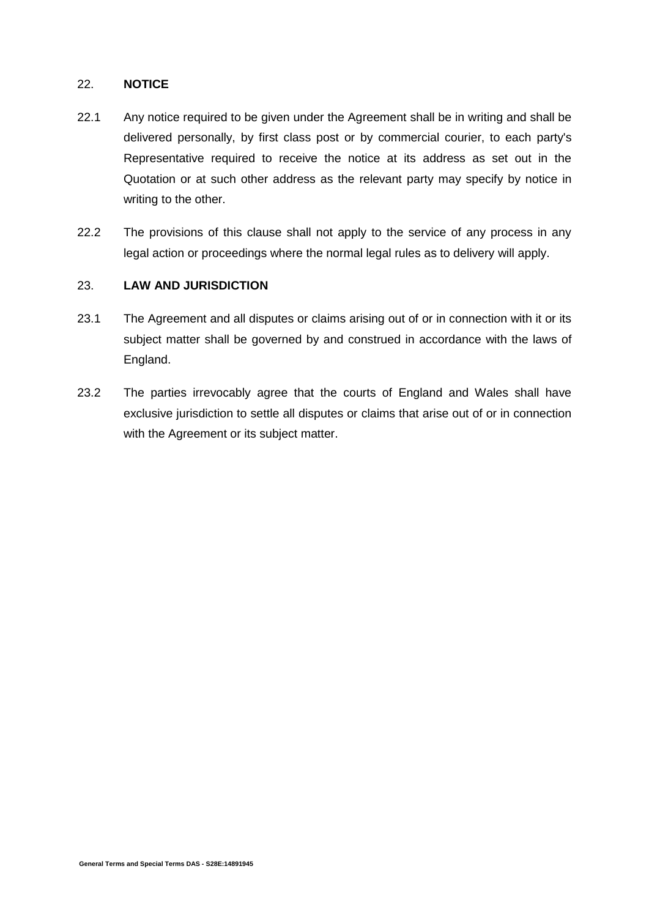### 22. **NOTICE**

- 22.1 Any notice required to be given under the Agreement shall be in writing and shall be delivered personally, by first class post or by commercial courier, to each party's Representative required to receive the notice at its address as set out in the Quotation or at such other address as the relevant party may specify by notice in writing to the other.
- 22.2 The provisions of this clause shall not apply to the service of any process in any legal action or proceedings where the normal legal rules as to delivery will apply.

### 23. **LAW AND JURISDICTION**

- 23.1 The Agreement and all disputes or claims arising out of or in connection with it or its subject matter shall be governed by and construed in accordance with the laws of England.
- 23.2 The parties irrevocably agree that the courts of England and Wales shall have exclusive jurisdiction to settle all disputes or claims that arise out of or in connection with the Agreement or its subject matter.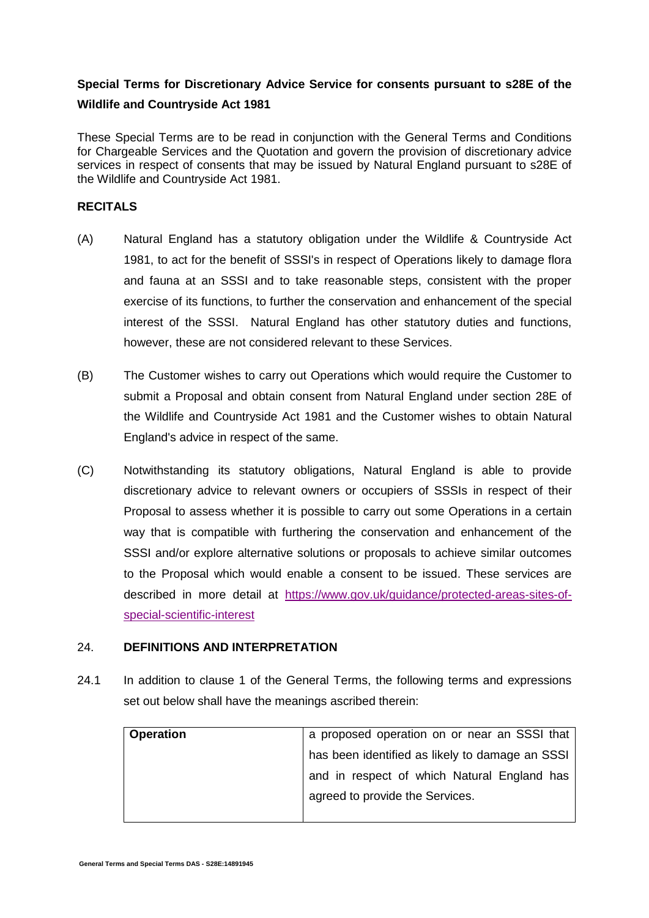# **Special Terms for Discretionary Advice Service for consents pursuant to s28E of the Wildlife and Countryside Act 1981**

These Special Terms are to be read in conjunction with the General Terms and Conditions for Chargeable Services and the Quotation and govern the provision of discretionary advice services in respect of consents that may be issued by Natural England pursuant to s28E of the Wildlife and Countryside Act 1981.

### **RECITALS**

- (A) Natural England has a statutory obligation under the Wildlife & Countryside Act 1981, to act for the benefit of SSSI's in respect of Operations likely to damage flora and fauna at an SSSI and to take reasonable steps, consistent with the proper exercise of its functions, to further the conservation and enhancement of the special interest of the SSSI. Natural England has other statutory duties and functions, however, these are not considered relevant to these Services.
- (B) The Customer wishes to carry out Operations which would require the Customer to submit a Proposal and obtain consent from Natural England under section 28E of the Wildlife and Countryside Act 1981 and the Customer wishes to obtain Natural England's advice in respect of the same.
- (C) Notwithstanding its statutory obligations, Natural England is able to provide discretionary advice to relevant owners or occupiers of SSSIs in respect of their Proposal to assess whether it is possible to carry out some Operations in a certain way that is compatible with furthering the conservation and enhancement of the SSSI and/or explore alternative solutions or proposals to achieve similar outcomes to the Proposal which would enable a consent to be issued. These services are described in more detail at [https://www.gov.uk/guidance/protected-areas-sites-of](https://www.gov.uk/guidance/protected-areas-sites-of-special-scientific-interest)[special-scientific-interest](https://www.gov.uk/guidance/protected-areas-sites-of-special-scientific-interest)

### 24. **DEFINITIONS AND INTERPRETATION**

24.1 In addition to clause 1 of the General Terms, the following terms and expressions set out below shall have the meanings ascribed therein:

| <b>Operation</b> | a proposed operation on or near an SSSI that    |
|------------------|-------------------------------------------------|
|                  | has been identified as likely to damage an SSSI |
|                  | and in respect of which Natural England has     |
|                  | agreed to provide the Services.                 |
|                  |                                                 |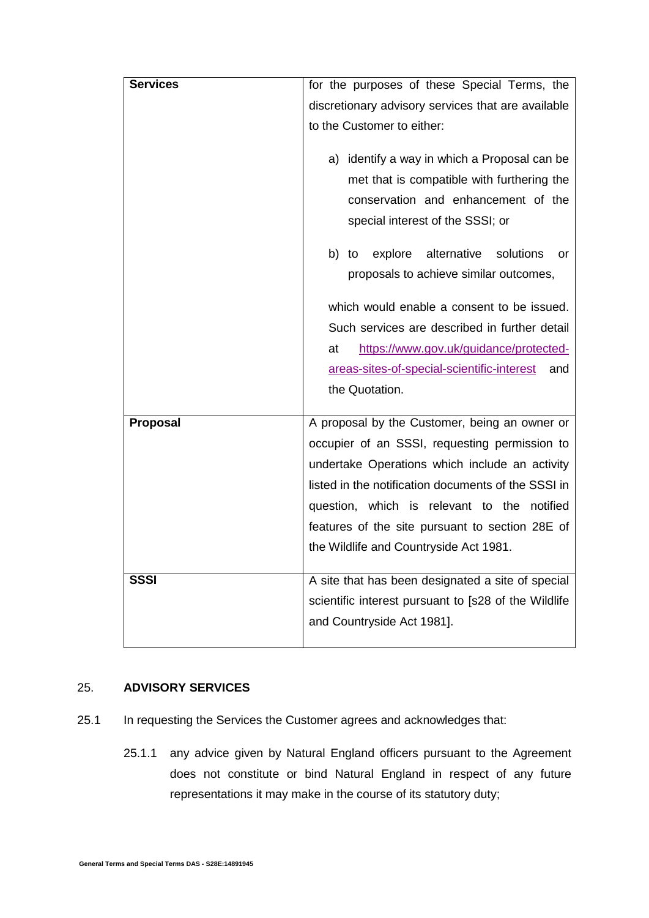| <b>Services</b> | for the purposes of these Special Terms, the                                                                                                                                                                                                                                                                                                                                                                         |
|-----------------|----------------------------------------------------------------------------------------------------------------------------------------------------------------------------------------------------------------------------------------------------------------------------------------------------------------------------------------------------------------------------------------------------------------------|
|                 | discretionary advisory services that are available                                                                                                                                                                                                                                                                                                                                                                   |
|                 | to the Customer to either:                                                                                                                                                                                                                                                                                                                                                                                           |
|                 | a) identify a way in which a Proposal can be<br>met that is compatible with furthering the<br>conservation and enhancement of the<br>special interest of the SSSI; or<br>explore<br>alternative<br>solutions<br>b) to<br>or<br>proposals to achieve similar outcomes,<br>which would enable a consent to be issued.<br>Such services are described in further detail<br>https://www.gov.uk/guidance/protected-<br>at |
|                 | areas-sites-of-special-scientific-interest<br>and                                                                                                                                                                                                                                                                                                                                                                    |
|                 | the Quotation.                                                                                                                                                                                                                                                                                                                                                                                                       |
| Proposal        | A proposal by the Customer, being an owner or                                                                                                                                                                                                                                                                                                                                                                        |
|                 | occupier of an SSSI, requesting permission to                                                                                                                                                                                                                                                                                                                                                                        |
|                 | undertake Operations which include an activity                                                                                                                                                                                                                                                                                                                                                                       |
|                 | listed in the notification documents of the SSSI in                                                                                                                                                                                                                                                                                                                                                                  |
|                 | question, which is relevant to the<br>notified                                                                                                                                                                                                                                                                                                                                                                       |
|                 | features of the site pursuant to section 28E of                                                                                                                                                                                                                                                                                                                                                                      |
|                 | the Wildlife and Countryside Act 1981.                                                                                                                                                                                                                                                                                                                                                                               |
| <b>SSSI</b>     | A site that has been designated a site of special                                                                                                                                                                                                                                                                                                                                                                    |
|                 | scientific interest pursuant to [s28 of the Wildlife                                                                                                                                                                                                                                                                                                                                                                 |
|                 | and Countryside Act 1981].                                                                                                                                                                                                                                                                                                                                                                                           |
|                 |                                                                                                                                                                                                                                                                                                                                                                                                                      |

# 25. **ADVISORY SERVICES**

- 25.1 In requesting the Services the Customer agrees and acknowledges that:
	- 25.1.1 any advice given by Natural England officers pursuant to the Agreement does not constitute or bind Natural England in respect of any future representations it may make in the course of its statutory duty;